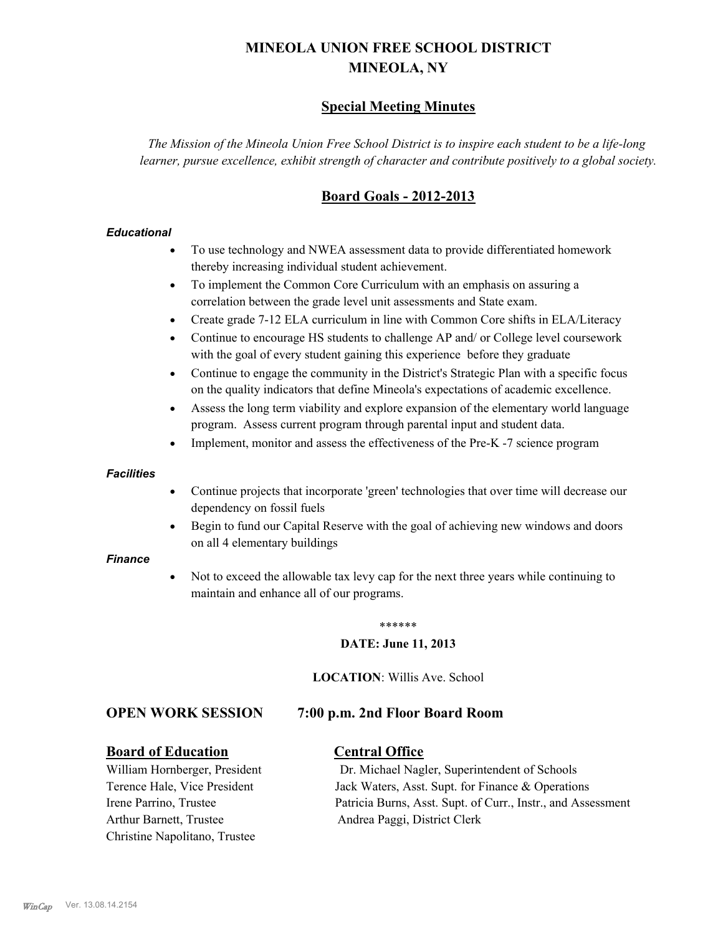# **MINEOLA UNION FREE SCHOOL DISTRICT MINEOLA, NY**

# **Special Meeting Minutes**

*The Mission of the Mineola Union Free School District is to inspire each student to be a life-long learner, pursue excellence, exhibit strength of character and contribute positively to a global society.*

# **Board Goals - 2012-2013**

## *Educational*

- · To use technology and NWEA assessment data to provide differentiated homework thereby increasing individual student achievement.
- · To implement the Common Core Curriculum with an emphasis on assuring a correlation between the grade level unit assessments and State exam.
- Create grade 7-12 ELA curriculum in line with Common Core shifts in ELA/Literacy
- Continue to encourage HS students to challenge AP and/ or College level coursework with the goal of every student gaining this experience before they graduate
- · Continue to engage the community in the District's Strategic Plan with a specific focus on the quality indicators that define Mineola's expectations of academic excellence.
- Assess the long term viability and explore expansion of the elementary world language program. Assess current program through parental input and student data.
- Implement, monitor and assess the effectiveness of the Pre-K -7 science program

### *Facilities*

- · Continue projects that incorporate 'green' technologies that over time will decrease our dependency on fossil fuels
- Begin to fund our Capital Reserve with the goal of achieving new windows and doors on all 4 elementary buildings

### *Finance*

Not to exceed the allowable tax levy cap for the next three years while continuing to maintain and enhance all of our programs.

#### \*\*\*\*\*\*

## **DATE: June 11, 2013**

**LOCATION**: Willis Ave. School

# **OPEN WORK SESSION 7:00 p.m. 2nd Floor Board Room**

# **Board of Education Central Office**

Arthur Barnett, Trustee Andrea Paggi, District Clerk Christine Napolitano, Trustee

William Hornberger, President Dr. Michael Nagler, Superintendent of Schools Terence Hale, Vice President Jack Waters, Asst. Supt. for Finance & Operations Irene Parrino, Trustee Patricia Burns, Asst. Supt. of Curr., Instr., and Assessment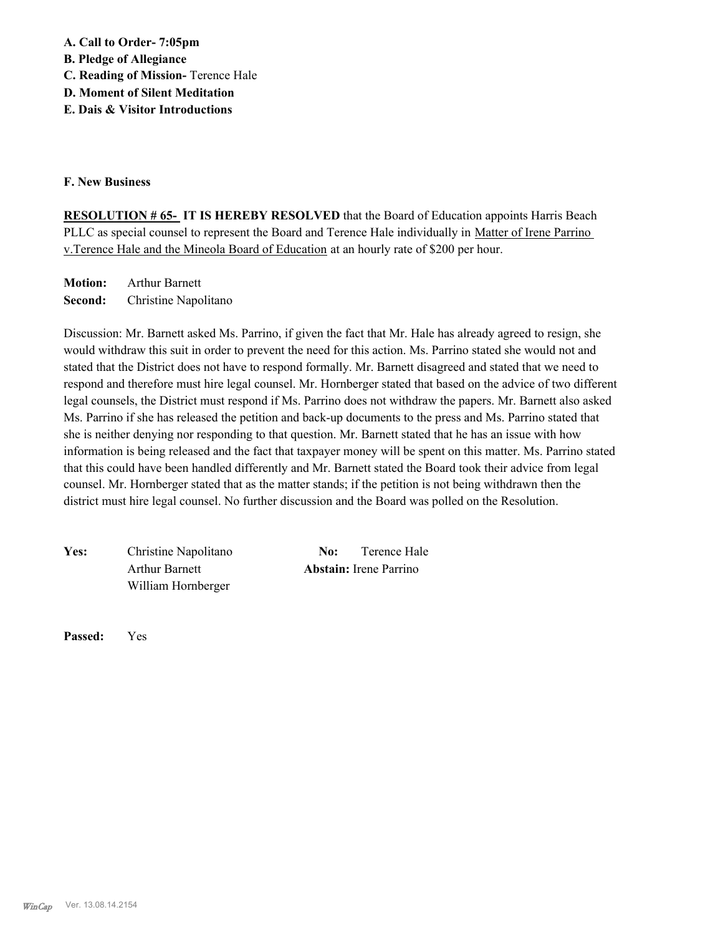**A. Call to Order- 7:05pm** 

**B. Pledge of Allegiance**

**C. Reading of Mission-** Terence Hale

**D. Moment of Silent Meditation**

**E. Dais & Visitor Introductions** 

## **F. New Business**

**RESOLUTION # 65- IT IS HEREBY RESOLVED** that the Board of Education appoints Harris Beach PLLC as special counsel to represent the Board and Terence Hale individually in Matter of Irene Parrino v.Terence Hale and the Mineola Board of Education at an hourly rate of \$200 per hour.

**Motion:** Arthur Barnett **Second:** Christine Napolitano

Discussion: Mr. Barnett asked Ms. Parrino, if given the fact that Mr. Hale has already agreed to resign, she would withdraw this suit in order to prevent the need for this action. Ms. Parrino stated she would not and stated that the District does not have to respond formally. Mr. Barnett disagreed and stated that we need to respond and therefore must hire legal counsel. Mr. Hornberger stated that based on the advice of two different legal counsels, the District must respond if Ms. Parrino does not withdraw the papers. Mr. Barnett also asked Ms. Parrino if she has released the petition and back-up documents to the press and Ms. Parrino stated that she is neither denying nor responding to that question. Mr. Barnett stated that he has an issue with how information is being released and the fact that taxpayer money will be spent on this matter. Ms. Parrino stated that this could have been handled differently and Mr. Barnett stated the Board took their advice from legal counsel. Mr. Hornberger stated that as the matter stands; if the petition is not being withdrawn then the district must hire legal counsel. No further discussion and the Board was polled on the Resolution.

Yes: Christine Napolitano **No:** Terence Hale William Hornberger

Arthur Barnett **Abstain:** Irene Parrino

**Passed:** Yes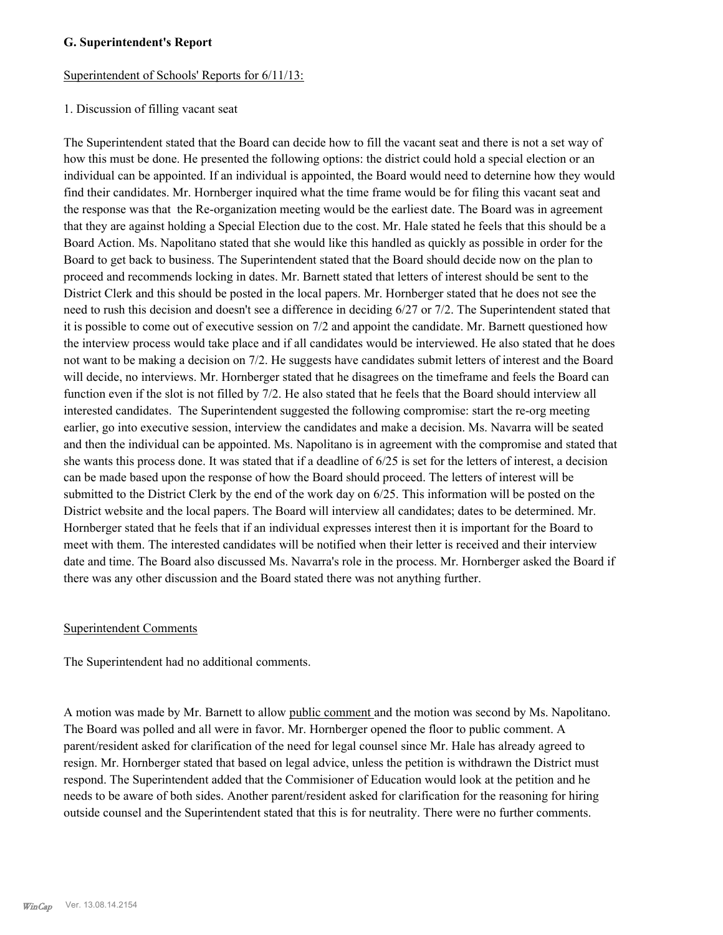## **G. Superintendent's Report**

### Superintendent of Schools' Reports for 6/11/13:

#### 1. Discussion of filling vacant seat

The Superintendent stated that the Board can decide how to fill the vacant seat and there is not a set way of how this must be done. He presented the following options: the district could hold a special election or an individual can be appointed. If an individual is appointed, the Board would need to deternine how they would find their candidates. Mr. Hornberger inquired what the time frame would be for filing this vacant seat and the response was that the Re-organization meeting would be the earliest date. The Board was in agreement that they are against holding a Special Election due to the cost. Mr. Hale stated he feels that this should be a Board Action. Ms. Napolitano stated that she would like this handled as quickly as possible in order for the Board to get back to business. The Superintendent stated that the Board should decide now on the plan to proceed and recommends locking in dates. Mr. Barnett stated that letters of interest should be sent to the District Clerk and this should be posted in the local papers. Mr. Hornberger stated that he does not see the need to rush this decision and doesn't see a difference in deciding 6/27 or 7/2. The Superintendent stated that it is possible to come out of executive session on 7/2 and appoint the candidate. Mr. Barnett questioned how the interview process would take place and if all candidates would be interviewed. He also stated that he does not want to be making a decision on 7/2. He suggests have candidates submit letters of interest and the Board will decide, no interviews. Mr. Hornberger stated that he disagrees on the timeframe and feels the Board can function even if the slot is not filled by 7/2. He also stated that he feels that the Board should interview all interested candidates. The Superintendent suggested the following compromise: start the re-org meeting earlier, go into executive session, interview the candidates and make a decision. Ms. Navarra will be seated and then the individual can be appointed. Ms. Napolitano is in agreement with the compromise and stated that she wants this process done. It was stated that if a deadline of 6/25 is set for the letters of interest, a decision can be made based upon the response of how the Board should proceed. The letters of interest will be submitted to the District Clerk by the end of the work day on 6/25. This information will be posted on the District website and the local papers. The Board will interview all candidates; dates to be determined. Mr. Hornberger stated that he feels that if an individual expresses interest then it is important for the Board to meet with them. The interested candidates will be notified when their letter is received and their interview date and time. The Board also discussed Ms. Navarra's role in the process. Mr. Hornberger asked the Board if there was any other discussion and the Board stated there was not anything further.

### Superintendent Comments

The Superintendent had no additional comments.

A motion was made by Mr. Barnett to allow public comment and the motion was second by Ms. Napolitano. The Board was polled and all were in favor. Mr. Hornberger opened the floor to public comment. A parent/resident asked for clarification of the need for legal counsel since Mr. Hale has already agreed to resign. Mr. Hornberger stated that based on legal advice, unless the petition is withdrawn the District must respond. The Superintendent added that the Commisioner of Education would look at the petition and he needs to be aware of both sides. Another parent/resident asked for clarification for the reasoning for hiring outside counsel and the Superintendent stated that this is for neutrality. There were no further comments.